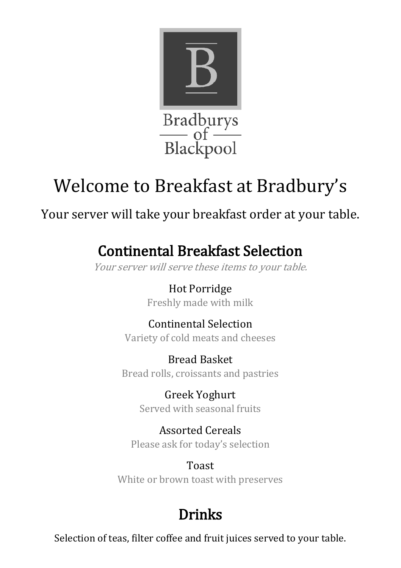

# Welcome to Breakfast at Bradbury's

Your server will take your breakfast order at your table.

## Continental Breakfast Selection

Your server will serve these items to your table.

Hot Porridge Freshly made with milk

Continental Selection Variety of cold meats and cheeses

Bread Basket Bread rolls, croissants and pastries

> Greek Yoghurt Served with seasonal fruits

Assorted Cereals Please ask for today's selection

Toast White or brown toast with preserves

## Drinks

Selection of teas, filter coffee and fruit juices served to your table.